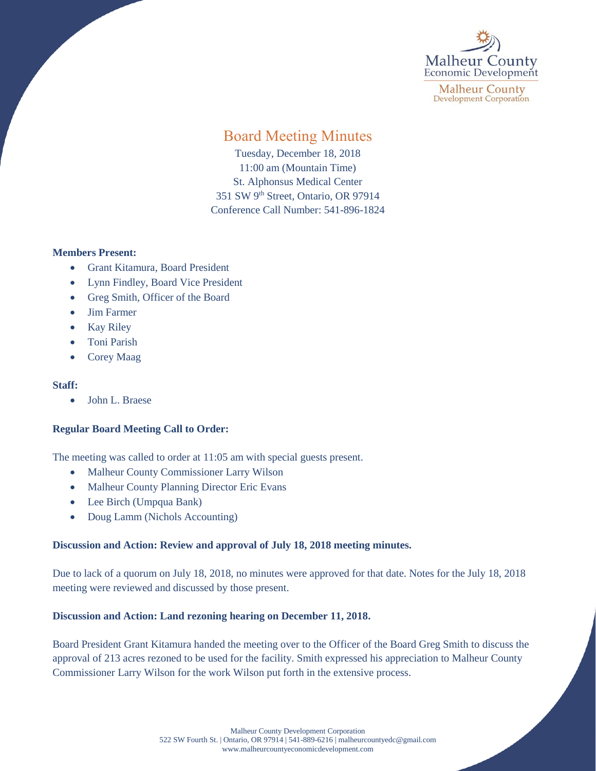

**Malheur County Development Corporation** 

# Board Meeting Minutes

Tuesday, December 18, 2018 11:00 am (Mountain Time) St. Alphonsus Medical Center 351 SW 9<sup>th</sup> Street, Ontario, OR 97914 Conference Call Number: 541-896-1824

## **Members Present:**

- Grant Kitamura, Board President
- Lynn Findley, Board Vice President
- Greg Smith, Officer of the Board
- Jim Farmer
- Kay Riley
- Toni Parish
- Corey Maag

#### **Staff:**

• John L. Braese

## **Regular Board Meeting Call to Order:**

The meeting was called to order at 11:05 am with special guests present.

- Malheur County Commissioner Larry Wilson
- Malheur County Planning Director Eric Evans
- Lee Birch (Umpqua Bank)
- Doug Lamm (Nichols Accounting)

## **Discussion and Action: Review and approval of July 18, 2018 meeting minutes.**

Due to lack of a quorum on July 18, 2018, no minutes were approved for that date. Notes for the July 18, 2018 meeting were reviewed and discussed by those present.

## **Discussion and Action: Land rezoning hearing on December 11, 2018.**

Board President Grant Kitamura handed the meeting over to the Officer of the Board Greg Smith to discuss the approval of 213 acres rezoned to be used for the facility. Smith expressed his appreciation to Malheur County Commissioner Larry Wilson for the work Wilson put forth in the extensive process.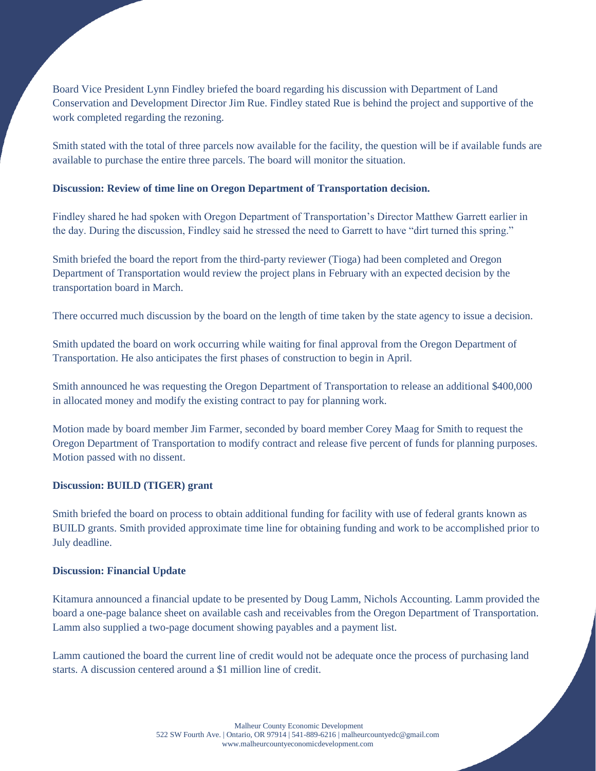Board Vice President Lynn Findley briefed the board regarding his discussion with Department of Land Conservation and Development Director Jim Rue. Findley stated Rue is behind the project and supportive of the work completed regarding the rezoning.

Smith stated with the total of three parcels now available for the facility, the question will be if available funds are available to purchase the entire three parcels. The board will monitor the situation.

## **Discussion: Review of time line on Oregon Department of Transportation decision.**

Findley shared he had spoken with Oregon Department of Transportation's Director Matthew Garrett earlier in the day. During the discussion, Findley said he stressed the need to Garrett to have "dirt turned this spring."

Smith briefed the board the report from the third-party reviewer (Tioga) had been completed and Oregon Department of Transportation would review the project plans in February with an expected decision by the transportation board in March.

There occurred much discussion by the board on the length of time taken by the state agency to issue a decision.

Smith updated the board on work occurring while waiting for final approval from the Oregon Department of Transportation. He also anticipates the first phases of construction to begin in April.

Smith announced he was requesting the Oregon Department of Transportation to release an additional \$400,000 in allocated money and modify the existing contract to pay for planning work.

Motion made by board member Jim Farmer, seconded by board member Corey Maag for Smith to request the Oregon Department of Transportation to modify contract and release five percent of funds for planning purposes. Motion passed with no dissent.

#### **Discussion: BUILD (TIGER) grant**

Smith briefed the board on process to obtain additional funding for facility with use of federal grants known as BUILD grants. Smith provided approximate time line for obtaining funding and work to be accomplished prior to July deadline.

#### **Discussion: Financial Update**

Kitamura announced a financial update to be presented by Doug Lamm, Nichols Accounting. Lamm provided the board a one-page balance sheet on available cash and receivables from the Oregon Department of Transportation. Lamm also supplied a two-page document showing payables and a payment list.

Lamm cautioned the board the current line of credit would not be adequate once the process of purchasing land starts. A discussion centered around a \$1 million line of credit.